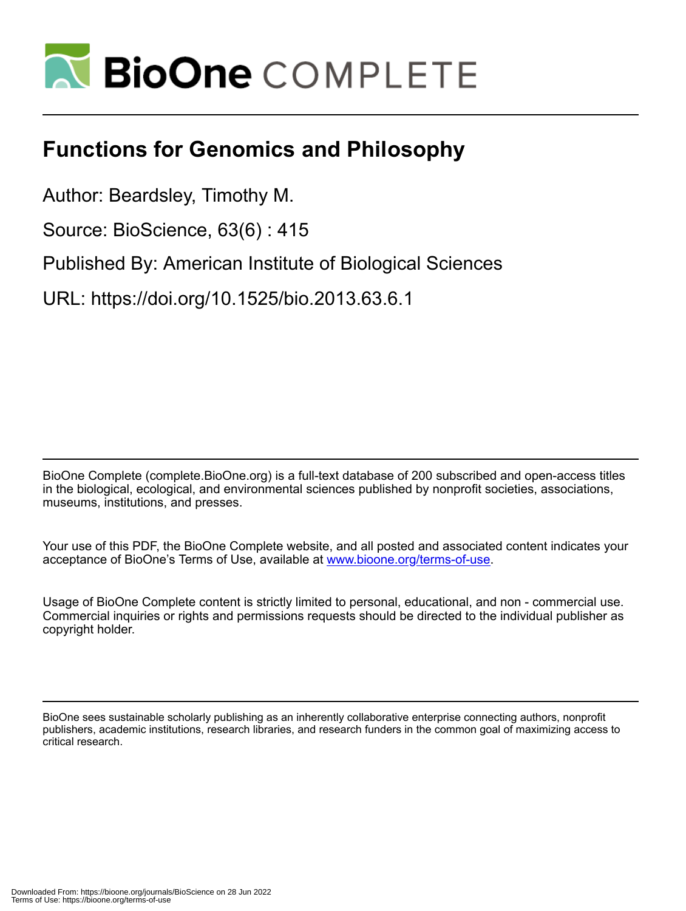

## **Functions for Genomics and Philosophy**

Author: Beardsley, Timothy M.

Source: BioScience, 63(6) : 415

Published By: American Institute of Biological Sciences

URL: https://doi.org/10.1525/bio.2013.63.6.1

BioOne Complete (complete.BioOne.org) is a full-text database of 200 subscribed and open-access titles in the biological, ecological, and environmental sciences published by nonprofit societies, associations, museums, institutions, and presses.

Your use of this PDF, the BioOne Complete website, and all posted and associated content indicates your acceptance of BioOne's Terms of Use, available at www.bioone.org/terms-of-use.

Usage of BioOne Complete content is strictly limited to personal, educational, and non - commercial use. Commercial inquiries or rights and permissions requests should be directed to the individual publisher as copyright holder.

BioOne sees sustainable scholarly publishing as an inherently collaborative enterprise connecting authors, nonprofit publishers, academic institutions, research libraries, and research funders in the common goal of maximizing access to critical research.